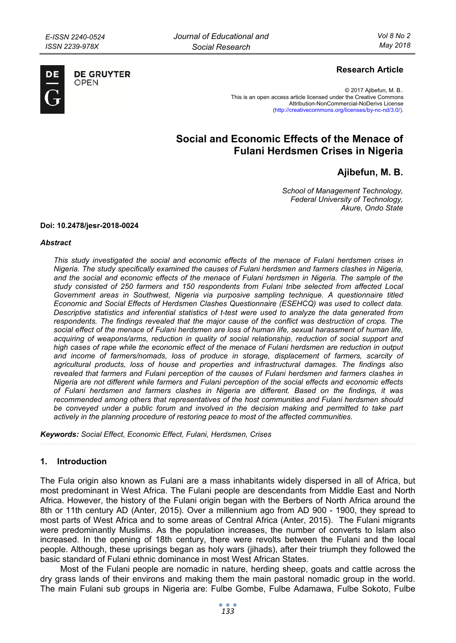

**DE GRUYTER** OPFN

# **Research Article**

© 2017 Ajibefun, M. B.. This is an open access article licensed under the Creative Commons Attribution-NonCommercial-NoDerivs License (http://creativecommons.org/licenses/by-nc-nd/3.0/).

# **Social and Economic Effects of the Menace of Fulani Herdsmen Crises in Nigeria**

# **Ajibefun, M. B.**

*School of Management Technology, Federal University of Technology, Akure, Ondo State* 

#### **Doi: 10.2478/jesr-2018-0024**

#### *Abstract*

*This study investigated the social and economic effects of the menace of Fulani herdsmen crises in Nigeria. The study specifically examined the causes of Fulani herdsmen and farmers clashes in Nigeria, and the social and economic effects of the menace of Fulani herdsmen in Nigeria. The sample of the study consisted of 250 farmers and 150 respondents from Fulani tribe selected from affected Local Government areas in Southwest, Nigeria via purposive sampling technique. A questionnaire titled Economic and Social Effects of Herdsmen Clashes Questionnaire (ESEHCQ) was used to collect data. Descriptive statistics and inferential statistics of t-test were used to analyze the data generated from*  respondents. The findings revealed that the major cause of the conflict was destruction of crops. The *social effect of the menace of Fulani herdsmen are loss of human life, sexual harassment of human life, acquiring of weapons/arms, reduction in quality of social relationship, reduction of social support and high cases of rape while the economic effect of the menace of Fulani herdsmen are reduction in output and income of farmers/nomads, loss of produce in storage, displacement of farmers, scarcity of agricultural products, loss of house and properties and infrastructural damages. The findings also revealed that farmers and Fulani perception of the causes of Fulani herdsmen and farmers clashes in Nigeria are not different while farmers and Fulani perception of the social effects and economic effects of Fulani herdsmen and farmers clashes in Nigeria are different. Based on the findings, it was recommended among others that representatives of the host communities and Fulani herdsmen should*  be conveyed under a public forum and involved in the decision making and permitted to take part *actively in the planning procedure of restoring peace to most of the affected communities.* 

*Keywords: Social Effect, Economic Effect, Fulani, Herdsmen, Crises* 

#### **1. Introduction**

The Fula origin also known as Fulani are a mass inhabitants widely dispersed in all of Africa, but most predominant in West Africa. The Fulani people are descendants from Middle East and North Africa. However, the history of the Fulani origin began with the Berbers of North Africa around the 8th or 11th century AD (Anter, 2015). Over a millennium ago from AD 900 - 1900, they spread to most parts of West Africa and to some areas of Central Africa (Anter, 2015). The Fulani migrants were predominantly Muslims. As the population increases, the number of converts to Islam also increased. In the opening of 18th century, there were revolts between the Fulani and the local people. Although, these uprisings began as holy wars (jihads), after their triumph they followed the basic standard of Fulani ethnic dominance in most West African States.

Most of the Fulani people are nomadic in nature, herding sheep, goats and cattle across the dry grass lands of their environs and making them the main pastoral nomadic group in the world. The main Fulani sub groups in Nigeria are: Fulbe Gombe, Fulbe Adamawa, Fulbe Sokoto, Fulbe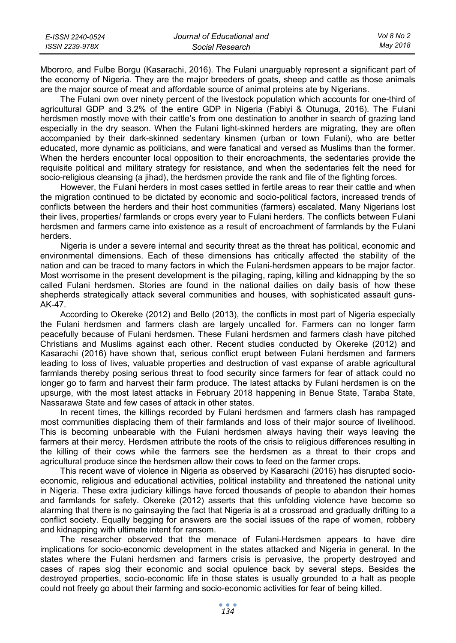| E-ISSN 2240-0524 | Journal of Educational and | Vol 8 No 2 |
|------------------|----------------------------|------------|
| ISSN 2239-978X   | Social Research            | Mav 2018   |

Mbororo, and Fulbe Borgu (Kasarachi, 2016). The Fulani unarguably represent a significant part of the economy of Nigeria. They are the major breeders of goats, sheep and cattle as those animals are the major source of meat and affordable source of animal proteins ate by Nigerians.

The Fulani own over ninety percent of the livestock population which accounts for one-third of agricultural GDP and 3.2% of the entire GDP in Nigeria (Fabiyi & Otunuga, 2016). The Fulani herdsmen mostly move with their cattle's from one destination to another in search of grazing land especially in the dry season. When the Fulani light-skinned herders are migrating, they are often accompanied by their dark-skinned sedentary kinsmen (urban or town Fulani), who are better educated, more dynamic as politicians, and were fanatical and versed as Muslims than the former. When the herders encounter local opposition to their encroachments, the sedentaries provide the requisite political and military strategy for resistance, and when the sedentaries felt the need for socio-religious cleansing (a jihad), the herdsmen provide the rank and file of the fighting forces.

However, the Fulani herders in most cases settled in fertile areas to rear their cattle and when the migration continued to be dictated by economic and socio-political factors, increased trends of conflicts between the herders and their host communities (farmers) escalated. Many Nigerians lost their lives, properties/ farmlands or crops every year to Fulani herders. The conflicts between Fulani herdsmen and farmers came into existence as a result of encroachment of farmlands by the Fulani herders.

Nigeria is under a severe internal and security threat as the threat has political, economic and environmental dimensions. Each of these dimensions has critically affected the stability of the nation and can be traced to many factors in which the Fulani-herdsmen appears to be major factor. Most worrisome in the present development is the pillaging, raping, killing and kidnapping by the so called Fulani herdsmen. Stories are found in the national dailies on daily basis of how these shepherds strategically attack several communities and houses, with sophisticated assault guns-AK-47.

According to Okereke (2012) and Bello (2013), the conflicts in most part of Nigeria especially the Fulani herdsmen and farmers clash are largely uncalled for. Farmers can no longer farm peacefully because of Fulani herdsmen. These Fulani herdsmen and farmers clash have pitched Christians and Muslims against each other. Recent studies conducted by Okereke (2012) and Kasarachi (2016) have shown that, serious conflict erupt between Fulani herdsmen and farmers leading to loss of lives, valuable properties and destruction of vast expanse of arable agricultural farmlands thereby posing serious threat to food security since farmers for fear of attack could no longer go to farm and harvest their farm produce. The latest attacks by Fulani herdsmen is on the upsurge, with the most latest attacks in February 2018 happening in Benue State, Taraba State, Nassarawa State and few cases of attack in other states.

In recent times, the killings recorded by Fulani herdsmen and farmers clash has rampaged most communities displacing them of their farmlands and loss of their major source of livelihood. This is becoming unbearable with the Fulani herdsmen always having their ways leaving the farmers at their mercy. Herdsmen attribute the roots of the crisis to religious differences resulting in the killing of their cows while the farmers see the herdsmen as a threat to their crops and agricultural produce since the herdsmen allow their cows to feed on the farmer crops.

This recent wave of violence in Nigeria as observed by Kasarachi (2016) has disrupted socioeconomic, religious and educational activities, political instability and threatened the national unity in Nigeria. These extra judiciary killings have forced thousands of people to abandon their homes and farmlands for safety. Okereke (2012) asserts that this unfolding violence have become so alarming that there is no gainsaying the fact that Nigeria is at a crossroad and gradually drifting to a conflict society. Equally begging for answers are the social issues of the rape of women, robbery and kidnapping with ultimate intent for ransom.

The researcher observed that the menace of Fulani-Herdsmen appears to have dire implications for socio-economic development in the states attacked and Nigeria in general. In the states where the Fulani herdsmen and farmers crisis is pervasive, the property destroyed and cases of rapes slog their economic and social opulence back by several steps. Besides the destroyed properties, socio-economic life in those states is usually grounded to a halt as people could not freely go about their farming and socio-economic activities for fear of being killed.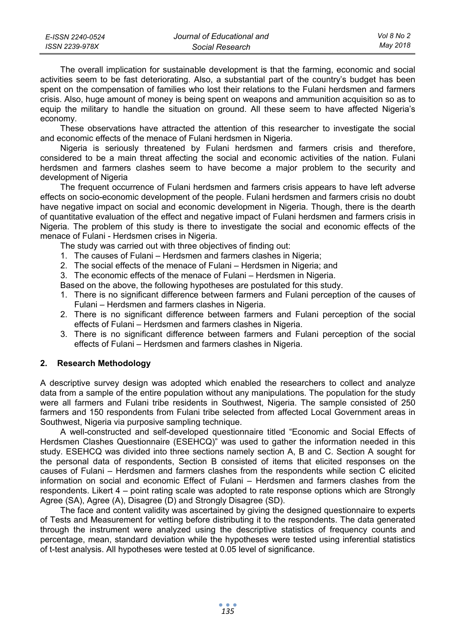| E-ISSN 2240-0524 | Journal of Educational and | Vol 8 No 2 |
|------------------|----------------------------|------------|
| ISSN 2239-978X   | Social Research            | Mav 2018   |

The overall implication for sustainable development is that the farming, economic and social activities seem to be fast deteriorating. Also, a substantial part of the country's budget has been spent on the compensation of families who lost their relations to the Fulani herdsmen and farmers crisis. Also, huge amount of money is being spent on weapons and ammunition acquisition so as to equip the military to handle the situation on ground. All these seem to have affected Nigeria's economy.

These observations have attracted the attention of this researcher to investigate the social and economic effects of the menace of Fulani herdsmen in Nigeria.

Nigeria is seriously threatened by Fulani herdsmen and farmers crisis and therefore, considered to be a main threat affecting the social and economic activities of the nation. Fulani herdsmen and farmers clashes seem to have become a major problem to the security and development of Nigeria

The frequent occurrence of Fulani herdsmen and farmers crisis appears to have left adverse effects on socio-economic development of the people. Fulani herdsmen and farmers crisis no doubt have negative impact on social and economic development in Nigeria. Though, there is the dearth of quantitative evaluation of the effect and negative impact of Fulani herdsmen and farmers crisis in Nigeria. The problem of this study is there to investigate the social and economic effects of the menace of Fulani - Herdsmen crises in Nigeria.

The study was carried out with three objectives of finding out:

- 1. The causes of Fulani Herdsmen and farmers clashes in Nigeria;
- 2. The social effects of the menace of Fulani Herdsmen in Nigeria; and
- 3. The economic effects of the menace of Fulani Herdsmen in Nigeria.

Based on the above, the following hypotheses are postulated for this study.

- 1. There is no significant difference between farmers and Fulani perception of the causes of Fulani – Herdsmen and farmers clashes in Nigeria.
- 2. There is no significant difference between farmers and Fulani perception of the social effects of Fulani – Herdsmen and farmers clashes in Nigeria.
- 3. There is no significant difference between farmers and Fulani perception of the social effects of Fulani – Herdsmen and farmers clashes in Nigeria.

#### **2. Research Methodology**

A descriptive survey design was adopted which enabled the researchers to collect and analyze data from a sample of the entire population without any manipulations. The population for the study were all farmers and Fulani tribe residents in Southwest, Nigeria. The sample consisted of 250 farmers and 150 respondents from Fulani tribe selected from affected Local Government areas in Southwest, Nigeria via purposive sampling technique.

A well-constructed and self-developed questionnaire titled "Economic and Social Effects of Herdsmen Clashes Questionnaire (ESEHCQ)" was used to gather the information needed in this study. ESEHCQ was divided into three sections namely section A, B and C. Section A sought for the personal data of respondents, Section B consisted of items that elicited responses on the causes of Fulani – Herdsmen and farmers clashes from the respondents while section C elicited information on social and economic Effect of Fulani – Herdsmen and farmers clashes from the respondents. Likert 4 – point rating scale was adopted to rate response options which are Strongly Agree (SA), Agree (A), Disagree (D) and Strongly Disagree (SD).

The face and content validity was ascertained by giving the designed questionnaire to experts of Tests and Measurement for vetting before distributing it to the respondents. The data generated through the instrument were analyzed using the descriptive statistics of frequency counts and percentage, mean, standard deviation while the hypotheses were tested using inferential statistics of t-test analysis. All hypotheses were tested at 0.05 level of significance.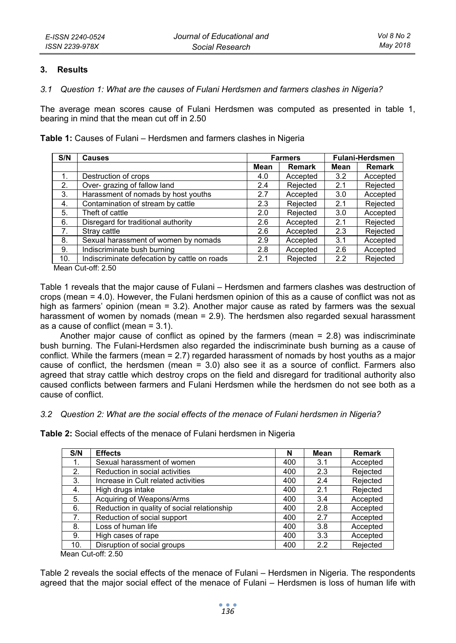#### **3. Results**

# *3.1 Question 1: What are the causes of Fulani Herdsmen and farmers clashes in Nigeria?*

The average mean scores cause of Fulani Herdsmen was computed as presented in table 1, bearing in mind that the mean cut off in 2.50

**Table 1:** Causes of Fulani – Herdsmen and farmers clashes in Nigeria

| S/N            | <b>Causes</b>                                |      | <b>Farmers</b> | <b>Fulani-Herdsmen</b> |               |  |
|----------------|----------------------------------------------|------|----------------|------------------------|---------------|--|
|                |                                              | Mean | Remark         | Mean                   | <b>Remark</b> |  |
| $\mathbf{1}$ . | Destruction of crops                         | 4.0  | Accepted       | 3.2                    | Accepted      |  |
| 2.             | Over- grazing of fallow land                 | 2.4  | Rejected       | 2.1                    | Rejected      |  |
| 3.             | Harassment of nomads by host youths          | 2.7  | Accepted       | 3.0                    | Accepted      |  |
| 4.             | Contamination of stream by cattle            | 2.3  | Rejected       | 2.1                    | Rejected      |  |
| 5.             | Theft of cattle                              | 2.0  | Rejected       | 3.0                    | Accepted      |  |
| 6.             | Disregard for traditional authority          | 2.6  | Accepted       | 2.1                    | Rejected      |  |
| 7 <sub>1</sub> | Stray cattle                                 | 2.6  | Accepted       | 2.3                    | Rejected      |  |
| 8.             | Sexual harassment of women by nomads         | 2.9  | Accepted       | 3.1                    | Accepted      |  |
| 9.             | Indiscriminate bush burning                  | 2.8  | Accepted       | 2.6                    | Accepted      |  |
| 10.            | Indiscriminate defecation by cattle on roads | 2.1  | Rejected       | 2.2                    | Rejected      |  |

Mean Cut-off: 2.50

Table 1 reveals that the major cause of Fulani – Herdsmen and farmers clashes was destruction of crops (mean = 4.0). However, the Fulani herdsmen opinion of this as a cause of conflict was not as high as farmers' opinion (mean = 3.2). Another major cause as rated by farmers was the sexual harassment of women by nomads (mean = 2.9). The herdsmen also regarded sexual harassment as a cause of conflict (mean = 3.1).

Another major cause of conflict as opined by the farmers (mean = 2.8) was indiscriminate bush burning. The Fulani-Herdsmen also regarded the indiscriminate bush burning as a cause of conflict. While the farmers (mean = 2.7) regarded harassment of nomads by host youths as a major cause of conflict, the herdsmen (mean = 3.0) also see it as a source of conflict. Farmers also agreed that stray cattle which destroy crops on the field and disregard for traditional authority also caused conflicts between farmers and Fulani Herdsmen while the herdsmen do not see both as a cause of conflict.

### *3.2 Question 2: What are the social effects of the menace of Fulani herdsmen in Nigeria?*

**Table 2:** Social effects of the menace of Fulani herdsmen in Nigeria

| S/N              | <b>Effects</b>                              | N   | Mean | Remark   |
|------------------|---------------------------------------------|-----|------|----------|
| $\mathbf{1}$ .   | Sexual harassment of women                  | 400 | 3.1  | Accepted |
| 2.               | Reduction in social activities              | 400 | 2.3  | Rejected |
| 3.               | Increase in Cult related activities         | 400 | 2.4  | Rejected |
| 4.               | High drugs intake                           | 400 | 2.1  | Rejected |
| 5.               | Acquiring of Weapons/Arms                   | 400 | 3.4  | Accepted |
| 6.               | Reduction in quality of social relationship | 400 | 2.8  | Accepted |
| $\overline{7}$ . | Reduction of social support                 | 400 | 2.7  | Accepted |
| 8.               | Loss of human life                          | 400 | 3.8  | Accepted |
| 9.               | High cases of rape                          | 400 | 3.3  | Accepted |
| 10.              | Disruption of social groups                 | 400 | 2.2  | Rejected |

Mean Cut-off: 2.50

Table 2 reveals the social effects of the menace of Fulani – Herdsmen in Nigeria. The respondents agreed that the major social effect of the menace of Fulani – Herdsmen is loss of human life with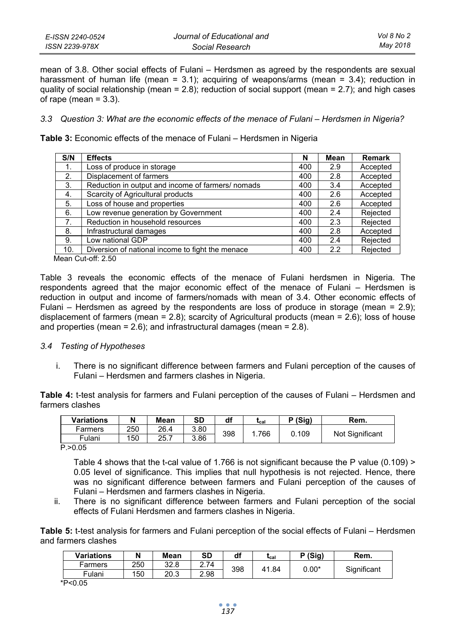| E-ISSN 2240-0524 | Journal of Educational and | Vol 8 No 2 |
|------------------|----------------------------|------------|
| ISSN 2239-978X   | Social Research            | May 2018   |

mean of 3.8. Other social effects of Fulani – Herdsmen as agreed by the respondents are sexual harassment of human life (mean =  $3.1$ ); acquiring of weapons/arms (mean =  $3.4$ ); reduction in quality of social relationship (mean =  $2.8$ ); reduction of social support (mean =  $2.7$ ); and high cases of rape (mean  $= 3.3$ ).

#### *3.3 Question 3: What are the economic effects of the menace of Fulani – Herdsmen in Nigeria?*

**Table 3:** Economic effects of the menace of Fulani – Herdsmen in Nigeria

| S/N | <b>Effects</b>                                   | N   | Mean | <b>Remark</b> |
|-----|--------------------------------------------------|-----|------|---------------|
| 1.  | Loss of produce in storage                       | 400 | 2.9  | Accepted      |
| 2.  | Displacement of farmers                          | 400 | 2.8  | Accepted      |
| 3.  | Reduction in output and income of farmers/nomads | 400 | 3.4  | Accepted      |
| 4.  | Scarcity of Agricultural products                | 400 | 2.6  | Accepted      |
| 5.  | Loss of house and properties                     | 400 | 2.6  | Accepted      |
| 6.  | Low revenue generation by Government             | 400 | 2.4  | Rejected      |
| 7.  | Reduction in household resources                 | 400 | 2.3  | Rejected      |
| 8.  | Infrastructural damages                          | 400 | 2.8  | Accepted      |
| 9.  | Low national GDP                                 | 400 | 2.4  | Rejected      |
| 10. | Diversion of national income to fight the menace | 400 | 2.2  | Rejected      |

Mean Cut-off: 2.50

Table 3 reveals the economic effects of the menace of Fulani herdsmen in Nigeria. The respondents agreed that the major economic effect of the menace of Fulani – Herdsmen is reduction in output and income of farmers/nomads with mean of 3.4. Other economic effects of Fulani – Herdsmen as agreed by the respondents are loss of produce in storage (mean = 2.9); displacement of farmers (mean = 2.8); scarcity of Agricultural products (mean = 2.6); loss of house and properties (mean = 2.6); and infrastructural damages (mean = 2.8).

#### *3.4 Testing of Hypotheses*

i. There is no significant difference between farmers and Fulani perception of the causes of Fulani – Herdsmen and farmers clashes in Nigeria.

**Table 4:** t-test analysis for farmers and Fulani perception of the causes of Fulani – Herdsmen and farmers clashes

| Variations           | N   | Mean | SD   | df  | Lcal | P (Sia) | Rem.            |
|----------------------|-----|------|------|-----|------|---------|-----------------|
| Farmers              | 250 | 26.4 | 3.80 | 398 | 766  | 0.109   | Not Significant |
| Fulani               | 150 | 25.7 | 3.86 |     |      |         |                 |
| $\sim$ $\sim$ $\sim$ |     |      |      |     |      |         |                 |

P.>0.05

Table 4 shows that the t-cal value of 1.766 is not significant because the P value (0.109) > 0.05 level of significance. This implies that null hypothesis is not rejected. Hence, there was no significant difference between farmers and Fulani perception of the causes of Fulani – Herdsmen and farmers clashes in Nigeria.

ii. There is no significant difference between farmers and Fulani perception of the social effects of Fulani Herdsmen and farmers clashes in Nigeria.

**Table 5:** t-test analysis for farmers and Fulani perception of the social effects of Fulani – Herdsmen and farmers clashes

| 250<br>2.74<br>32.8<br>Farmers |                               | $0.00^\ast$ |  |             |
|--------------------------------|-------------------------------|-------------|--|-------------|
| 2.98<br>150<br>20.3<br>Fulani  | 398<br>. 84<br>4 <sup>1</sup> |             |  | Significant |

\*P<0.05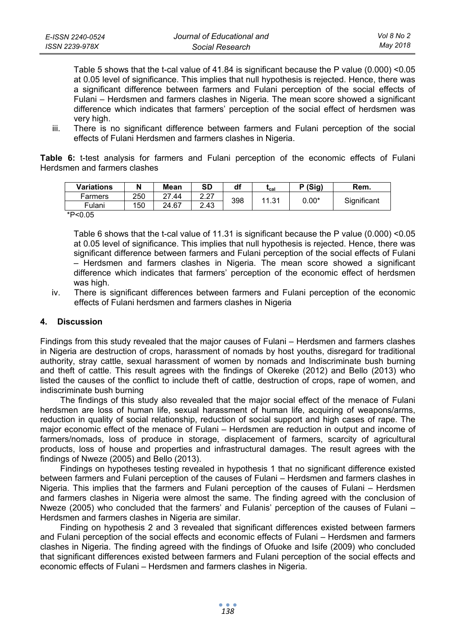Table 5 shows that the t-cal value of 41.84 is significant because the P value (0.000) <0.05 at 0.05 level of significance. This implies that null hypothesis is rejected. Hence, there was a significant difference between farmers and Fulani perception of the social effects of Fulani – Herdsmen and farmers clashes in Nigeria. The mean score showed a significant difference which indicates that farmers' perception of the social effect of herdsmen was very high.

iii. There is no significant difference between farmers and Fulani perception of the social effects of Fulani Herdsmen and farmers clashes in Nigeria.

**Table 6:** t-test analysis for farmers and Fulani perception of the economic effects of Fulani Herdsmen and farmers clashes

| Variations | N   | Mean  | SD   | df  | Lcal  | P(Sig)  | Rem.        |
|------------|-----|-------|------|-----|-------|---------|-------------|
| Farmers    | 250 | 27.44 | 2.27 |     | 11.31 | $0.00*$ | Significant |
| Fulani     | 150 | 24.67 | 2.43 | 398 |       |         |             |
| *P<0.05    |     |       |      |     |       |         |             |

Table 6 shows that the t-cal value of 11.31 is significant because the P value (0.000) <0.05 at 0.05 level of significance. This implies that null hypothesis is rejected. Hence, there was significant difference between farmers and Fulani perception of the social effects of Fulani – Herdsmen and farmers clashes in Nigeria. The mean score showed a significant difference which indicates that farmers' perception of the economic effect of herdsmen was high.

iv. There is significant differences between farmers and Fulani perception of the economic effects of Fulani herdsmen and farmers clashes in Nigeria

# **4. Discussion**

Findings from this study revealed that the major causes of Fulani – Herdsmen and farmers clashes in Nigeria are destruction of crops, harassment of nomads by host youths, disregard for traditional authority, stray cattle, sexual harassment of women by nomads and Indiscriminate bush burning and theft of cattle. This result agrees with the findings of Okereke (2012) and Bello (2013) who listed the causes of the conflict to include theft of cattle, destruction of crops, rape of women, and indiscriminate bush burning

The findings of this study also revealed that the major social effect of the menace of Fulani herdsmen are loss of human life, sexual harassment of human life, acquiring of weapons/arms, reduction in quality of social relationship, reduction of social support and high cases of rape. The major economic effect of the menace of Fulani – Herdsmen are reduction in output and income of farmers/nomads, loss of produce in storage, displacement of farmers, scarcity of agricultural products, loss of house and properties and infrastructural damages. The result agrees with the findings of Nweze (2005) and Bello (2013).

Findings on hypotheses testing revealed in hypothesis 1 that no significant difference existed between farmers and Fulani perception of the causes of Fulani – Herdsmen and farmers clashes in Nigeria. This implies that the farmers and Fulani perception of the causes of Fulani – Herdsmen and farmers clashes in Nigeria were almost the same. The finding agreed with the conclusion of Nweze (2005) who concluded that the farmers' and Fulanis' perception of the causes of Fulani – Herdsmen and farmers clashes in Nigeria are similar.

Finding on hypothesis 2 and 3 revealed that significant differences existed between farmers and Fulani perception of the social effects and economic effects of Fulani – Herdsmen and farmers clashes in Nigeria. The finding agreed with the findings of Ofuoke and Isife (2009) who concluded that significant differences existed between farmers and Fulani perception of the social effects and economic effects of Fulani – Herdsmen and farmers clashes in Nigeria.